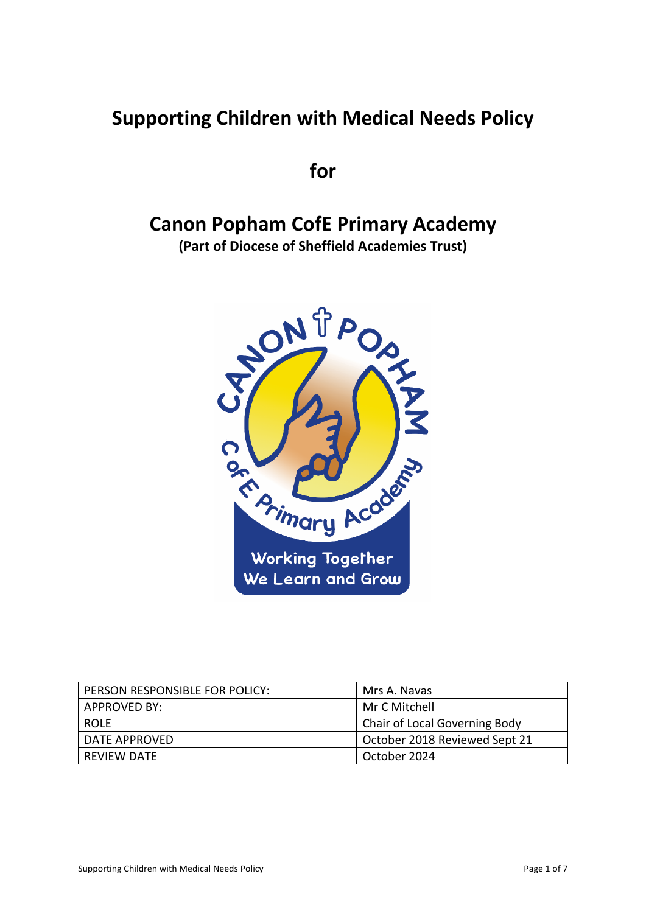# **Supporting Children with Medical Needs Policy**

**for**

# **Canon Popham CofE Primary Academy**

**(Part of Diocese of Sheffield Academies Trust)**



| PERSON RESPONSIBLE FOR POLICY: | Mrs A. Navas                  |
|--------------------------------|-------------------------------|
| APPROVED BY:                   | Mr C Mitchell                 |
| <b>ROLF</b>                    | Chair of Local Governing Body |
| <b>DATE APPROVED</b>           | October 2018 Reviewed Sept 21 |
| REVIEW DATE                    | October 2024                  |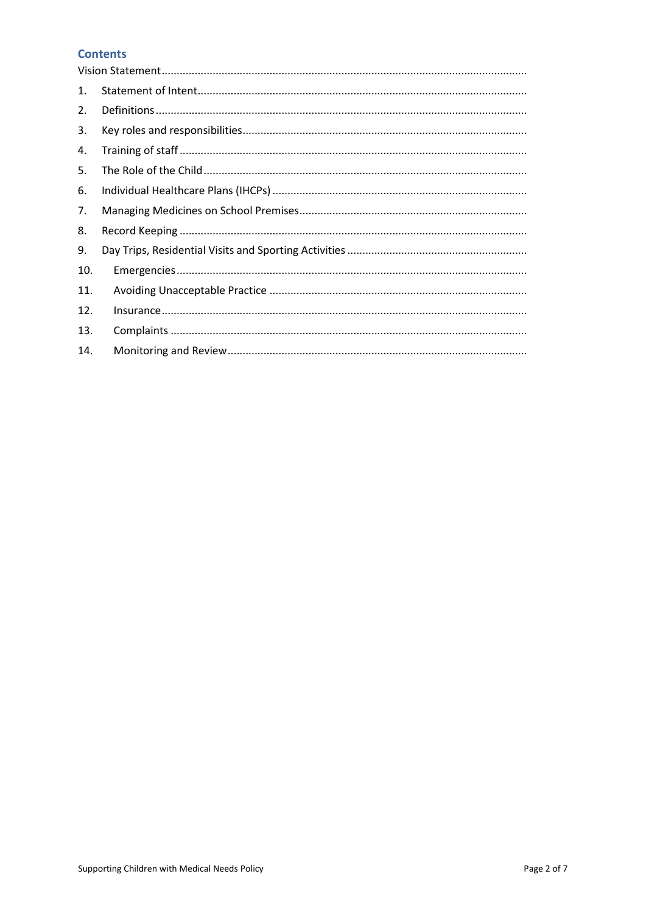# **Contents**

| 1.  |  |
|-----|--|
| 2.  |  |
| 3.  |  |
| 4.  |  |
| 5.  |  |
| 6.  |  |
| 7.  |  |
| 8.  |  |
| 9.  |  |
| 10. |  |
| 11. |  |
| 12. |  |
| 13. |  |
| 14. |  |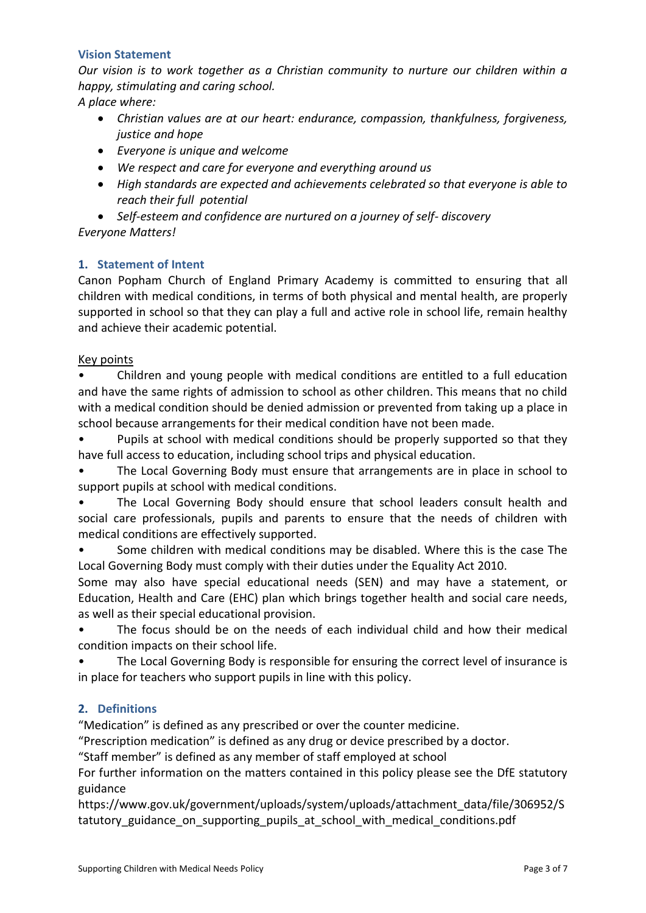## <span id="page-2-0"></span>**Vision Statement**

*Our vision is to work together as a Christian community to nurture our children within a happy, stimulating and caring school.*

*A place where:*

- *Christian values are at our heart: endurance, compassion, thankfulness, forgiveness, justice and hope*
- *Everyone is unique and welcome*
- *We respect and care for everyone and everything around us*
- *High standards are expected and achievements celebrated so that everyone is able to reach their full potential*

 *Self-esteem and confidence are nurtured on a journey of self- discovery Everyone Matters!*

# <span id="page-2-1"></span>**1. Statement of Intent**

Canon Popham Church of England Primary Academy is committed to ensuring that all children with medical conditions, in terms of both physical and mental health, are properly supported in school so that they can play a full and active role in school life, remain healthy and achieve their academic potential.

#### Key points

• Children and young people with medical conditions are entitled to a full education and have the same rights of admission to school as other children. This means that no child with a medical condition should be denied admission or prevented from taking up a place in school because arrangements for their medical condition have not been made.

• Pupils at school with medical conditions should be properly supported so that they have full access to education, including school trips and physical education.

• The Local Governing Body must ensure that arrangements are in place in school to support pupils at school with medical conditions.

• The Local Governing Body should ensure that school leaders consult health and social care professionals, pupils and parents to ensure that the needs of children with medical conditions are effectively supported.

Some children with medical conditions may be disabled. Where this is the case The Local Governing Body must comply with their duties under the Equality Act 2010.

Some may also have special educational needs (SEN) and may have a statement, or Education, Health and Care (EHC) plan which brings together health and social care needs, as well as their special educational provision.

• The focus should be on the needs of each individual child and how their medical condition impacts on their school life.

• The Local Governing Body is responsible for ensuring the correct level of insurance is in place for teachers who support pupils in line with this policy.

## <span id="page-2-2"></span>**2. Definitions**

"Medication" is defined as any prescribed or over the counter medicine.

"Prescription medication" is defined as any drug or device prescribed by a doctor.

"Staff member" is defined as any member of staff employed at school

For further information on the matters contained in this policy please see the DfE statutory guidance

https://www.gov.uk/government/uploads/system/uploads/attachment\_data/file/306952/S tatutory guidance on supporting pupils at school with medical conditions.pdf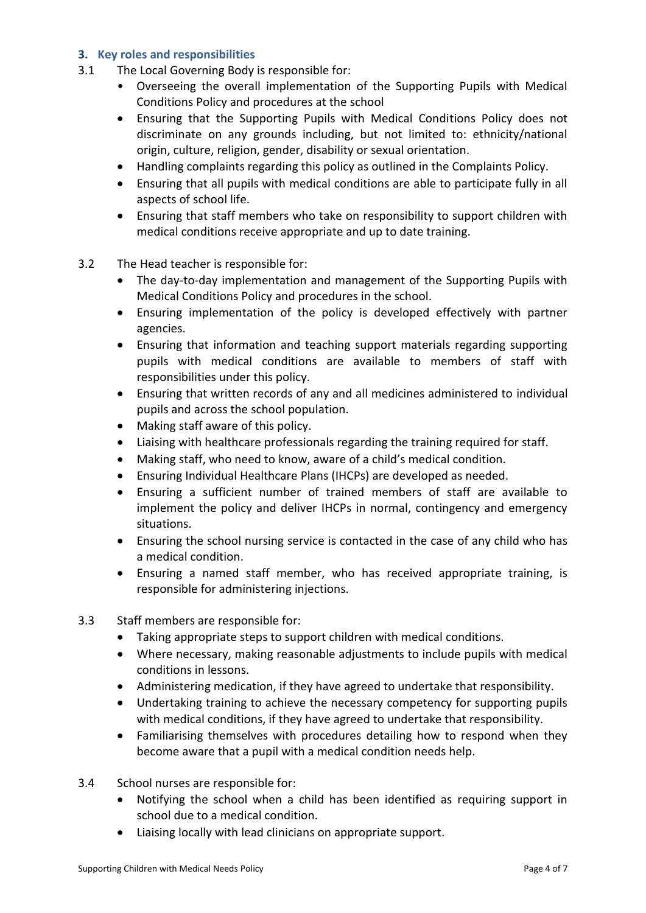## <span id="page-3-0"></span>**3. Key roles and responsibilities**

- 3.1 The Local Governing Body is responsible for:
	- Overseeing the overall implementation of the Supporting Pupils with Medical Conditions Policy and procedures at the school
	- Ensuring that the Supporting Pupils with Medical Conditions Policy does not discriminate on any grounds including, but not limited to: ethnicity/national origin, culture, religion, gender, disability or sexual orientation.
	- Handling complaints regarding this policy as outlined in the Complaints Policy.
	- Ensuring that all pupils with medical conditions are able to participate fully in all aspects of school life.
	- Ensuring that staff members who take on responsibility to support children with medical conditions receive appropriate and up to date training.
- 3.2 The Head teacher is responsible for:
	- The day-to-day implementation and management of the Supporting Pupils with Medical Conditions Policy and procedures in the school.
	- Ensuring implementation of the policy is developed effectively with partner agencies.
	- Ensuring that information and teaching support materials regarding supporting pupils with medical conditions are available to members of staff with responsibilities under this policy.
	- Ensuring that written records of any and all medicines administered to individual pupils and across the school population.
	- Making staff aware of this policy.
	- Liaising with healthcare professionals regarding the training required for staff.
	- Making staff, who need to know, aware of a child's medical condition.
	- Ensuring Individual Healthcare Plans (IHCPs) are developed as needed.
	- Ensuring a sufficient number of trained members of staff are available to implement the policy and deliver IHCPs in normal, contingency and emergency situations.
	- Ensuring the school nursing service is contacted in the case of any child who has a medical condition.
	- Ensuring a named staff member, who has received appropriate training, is responsible for administering injections.
- 3.3 Staff members are responsible for:
	- Taking appropriate steps to support children with medical conditions.
	- Where necessary, making reasonable adjustments to include pupils with medical conditions in lessons.
	- Administering medication, if they have agreed to undertake that responsibility.
	- Undertaking training to achieve the necessary competency for supporting pupils with medical conditions, if they have agreed to undertake that responsibility.
	- Familiarising themselves with procedures detailing how to respond when they become aware that a pupil with a medical condition needs help.
- 3.4 School nurses are responsible for:
	- Notifying the school when a child has been identified as requiring support in school due to a medical condition.
	- Liaising locally with lead clinicians on appropriate support.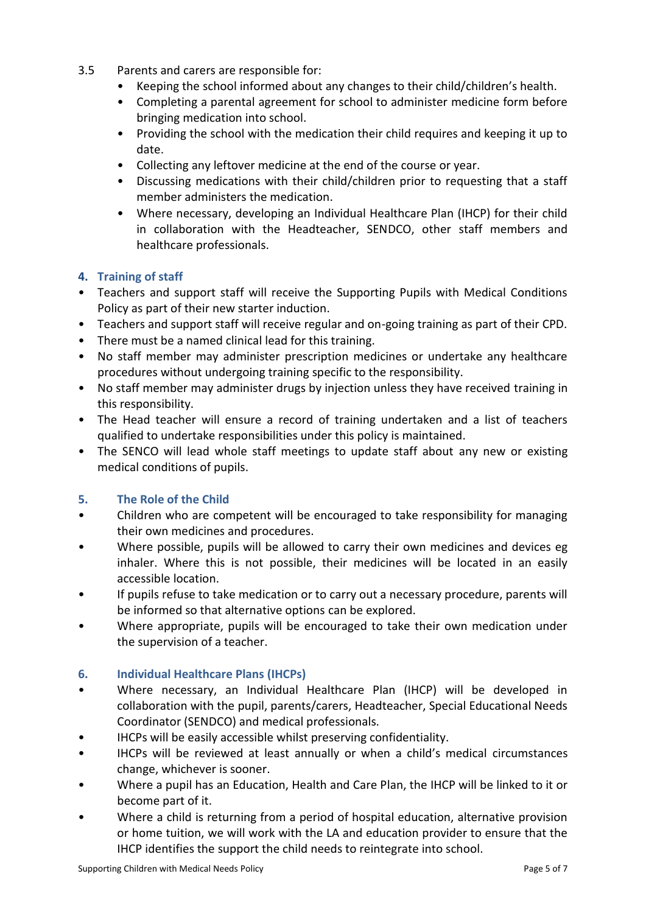- 3.5 Parents and carers are responsible for:
	- Keeping the school informed about any changes to their child/children's health.
	- Completing a parental agreement for school to administer medicine form before bringing medication into school.
	- Providing the school with the medication their child requires and keeping it up to date.
	- Collecting any leftover medicine at the end of the course or year.
	- Discussing medications with their child/children prior to requesting that a staff member administers the medication.
	- Where necessary, developing an Individual Healthcare Plan (IHCP) for their child in collaboration with the Headteacher, SENDCO, other staff members and healthcare professionals.

# <span id="page-4-0"></span>**4. Training of staff**

- Teachers and support staff will receive the Supporting Pupils with Medical Conditions Policy as part of their new starter induction.
- Teachers and support staff will receive regular and on-going training as part of their CPD.
- There must be a named clinical lead for this training.
- No staff member may administer prescription medicines or undertake any healthcare procedures without undergoing training specific to the responsibility.
- No staff member may administer drugs by injection unless they have received training in this responsibility.
- The Head teacher will ensure a record of training undertaken and a list of teachers qualified to undertake responsibilities under this policy is maintained.
- The SENCO will lead whole staff meetings to update staff about any new or existing medical conditions of pupils.

## <span id="page-4-1"></span>**5. The Role of the Child**

- Children who are competent will be encouraged to take responsibility for managing their own medicines and procedures.
- Where possible, pupils will be allowed to carry their own medicines and devices eg inhaler. Where this is not possible, their medicines will be located in an easily accessible location.
- If pupils refuse to take medication or to carry out a necessary procedure, parents will be informed so that alternative options can be explored.
- Where appropriate, pupils will be encouraged to take their own medication under the supervision of a teacher.

## <span id="page-4-2"></span>**6. Individual Healthcare Plans (IHCPs)**

- Where necessary, an Individual Healthcare Plan (IHCP) will be developed in collaboration with the pupil, parents/carers, Headteacher, Special Educational Needs Coordinator (SENDCO) and medical professionals.
- IHCPs will be easily accessible whilst preserving confidentiality.
- IHCPs will be reviewed at least annually or when a child's medical circumstances change, whichever is sooner.
- Where a pupil has an Education, Health and Care Plan, the IHCP will be linked to it or become part of it.
- Where a child is returning from a period of hospital education, alternative provision or home tuition, we will work with the LA and education provider to ensure that the IHCP identifies the support the child needs to reintegrate into school.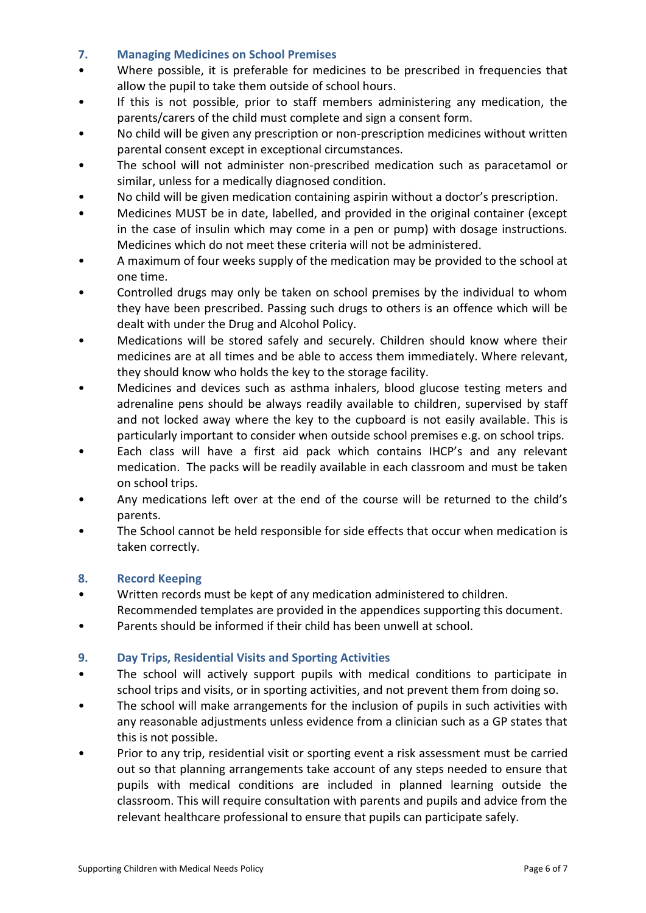## <span id="page-5-0"></span>**7. Managing Medicines on School Premises**

- Where possible, it is preferable for medicines to be prescribed in frequencies that allow the pupil to take them outside of school hours.
- If this is not possible, prior to staff members administering any medication, the parents/carers of the child must complete and sign a consent form.
- No child will be given any prescription or non-prescription medicines without written parental consent except in exceptional circumstances.
- The school will not administer non-prescribed medication such as paracetamol or similar, unless for a medically diagnosed condition.
- No child will be given medication containing aspirin without a doctor's prescription.
- Medicines MUST be in date, labelled, and provided in the original container (except in the case of insulin which may come in a pen or pump) with dosage instructions. Medicines which do not meet these criteria will not be administered.
- A maximum of four weeks supply of the medication may be provided to the school at one time.
- Controlled drugs may only be taken on school premises by the individual to whom they have been prescribed. Passing such drugs to others is an offence which will be dealt with under the Drug and Alcohol Policy.
- Medications will be stored safely and securely. Children should know where their medicines are at all times and be able to access them immediately. Where relevant, they should know who holds the key to the storage facility.
- Medicines and devices such as asthma inhalers, blood glucose testing meters and adrenaline pens should be always readily available to children, supervised by staff and not locked away where the key to the cupboard is not easily available. This is particularly important to consider when outside school premises e.g. on school trips.
- Each class will have a first aid pack which contains IHCP's and any relevant medication. The packs will be readily available in each classroom and must be taken on school trips.
- Any medications left over at the end of the course will be returned to the child's parents.
- The School cannot be held responsible for side effects that occur when medication is taken correctly.

## <span id="page-5-1"></span>**8. Record Keeping**

• Written records must be kept of any medication administered to children.

Recommended templates are provided in the appendices supporting this document.

• Parents should be informed if their child has been unwell at school.

## <span id="page-5-2"></span>**9. Day Trips, Residential Visits and Sporting Activities**

- The school will actively support pupils with medical conditions to participate in school trips and visits, or in sporting activities, and not prevent them from doing so.
- The school will make arrangements for the inclusion of pupils in such activities with any reasonable adjustments unless evidence from a clinician such as a GP states that this is not possible.
- Prior to any trip, residential visit or sporting event a risk assessment must be carried out so that planning arrangements take account of any steps needed to ensure that pupils with medical conditions are included in planned learning outside the classroom. This will require consultation with parents and pupils and advice from the relevant healthcare professional to ensure that pupils can participate safely.